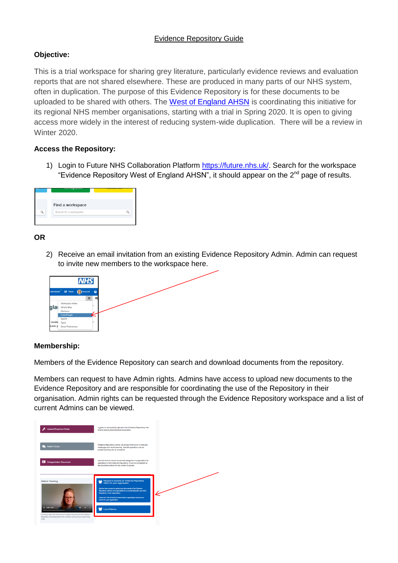# Evidence Repository Guide

# **Objective:**

This is a trial workspace for sharing grey literature, particularly evidence reviews and evaluation reports that are not shared elsewhere. These are produced in many parts of our NHS system, often in duplication. The purpose of this Evidence Repository is for these documents to be uploaded to be shared with others. The [West of England AHSN](https://www.weahsn.net/) is coordinating this initiative for its regional NHS member organisations, starting with a trial in Spring 2020. It is open to giving access more widely in the interest of reducing system-wide duplication. There will be a review in Winter 2020.

# **Access the Repository:**

1) Login to Future NHS Collaboration Platform [https://future.nhs.uk/.](https://future.nhs.uk/) Search for the workspace "Evidence Repository West of England AHSN", it should appear on the 2<sup>nd</sup> page of results.



### **OR**

2) Receive an email invitation from an existing Evidence Repository Admin. Admin can request to invite new members to the workspace here.



### **Membership:**

Members of the Evidence Repository can search and download documents from the repository.

Members can request to have Admin rights. Admins have access to upload new documents to the Evidence Repository and are responsible for coordinating the use of the Repository in their organisation. Admin rights can be requested through the Evidence Repository workspace and a list of current Admins can be viewed.